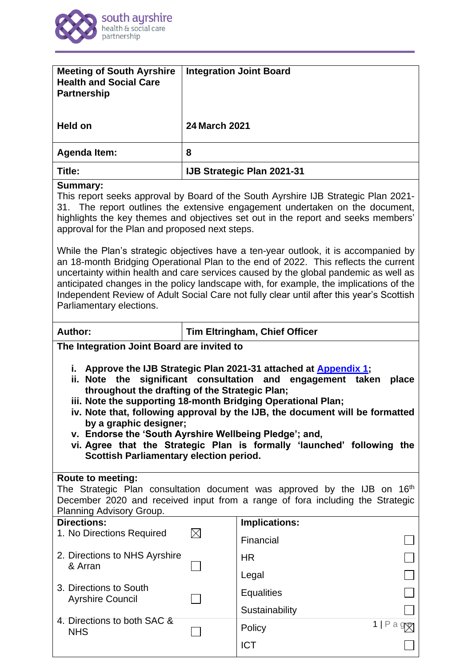

| <b>Meeting of South Ayrshire</b><br><b>Health and Social Care</b><br><b>Partnership</b> | <b>Integration Joint Board</b>    |
|-----------------------------------------------------------------------------------------|-----------------------------------|
| Held on                                                                                 | <b>24 March 2021</b>              |
| <b>Agenda Item:</b>                                                                     | 8                                 |
| Title:                                                                                  | <b>IJB Strategic Plan 2021-31</b> |
| Summary:                                                                                |                                   |

This report seeks approval by Board of the South Ayrshire IJB Strategic Plan 2021- 31. The report outlines the extensive engagement undertaken on the document, highlights the key themes and objectives set out in the report and seeks members' approval for the Plan and proposed next steps.

While the Plan's strategic objectives have a ten-year outlook, it is accompanied by an 18-month Bridging Operational Plan to the end of 2022. This reflects the current uncertainty within health and care services caused by the global pandemic as well as anticipated changes in the policy landscape with, for example, the implications of the Independent Review of Adult Social Care not fully clear until after this year's Scottish Parliamentary elections.

# **Author: Tim Eltringham, Chief Officer**

**The Integration Joint Board are invited to**

- **i. Approve the IJB Strategic Plan 2021-31 attached at [Appendix 1;](http://www.south-ayrshire.gov.uk/health-social-care-partnership/documents/Item%208%20Strategic%20Plan%20Final%20App1%20IJB%202021%2003%2024.pdf)**
- **ii. Note the significant consultation and engagement taken place throughout the drafting of the Strategic Plan;**
- **iii. Note the supporting 18-month Bridging Operational Plan;**
- **iv. Note that, following approval by the IJB, the document will be formatted by a graphic designer;**
- **v. Endorse the 'South Ayrshire Wellbeing Pledge'; and,**
- **vi. Agree that the Strategic Plan is formally 'launched' following the Scottish Parliamentary election period.**

### **Route to meeting:**

The Strategic Plan consultation document was approved by the IJB on 16<sup>th</sup> December 2020 and received input from a range of fora including the Strategic Planning Advisory Group.

| <b>Flatiting Auvisury Oroup.</b>                  |                      |      |
|---------------------------------------------------|----------------------|------|
| <b>Directions:</b>                                | <b>Implications:</b> |      |
| 1. No Directions Required                         | Financial            |      |
| 2. Directions to NHS Ayrshire<br>& Arran          | <b>HR</b>            |      |
|                                                   | Legal                |      |
| 3. Directions to South<br><b>Ayrshire Council</b> | <b>Equalities</b>    |      |
|                                                   | Sustainability       |      |
| 4. Directions to both SAC &<br><b>NHS</b>         | Policy               | 1 Pa |
|                                                   | <b>ICT</b>           |      |
|                                                   |                      |      |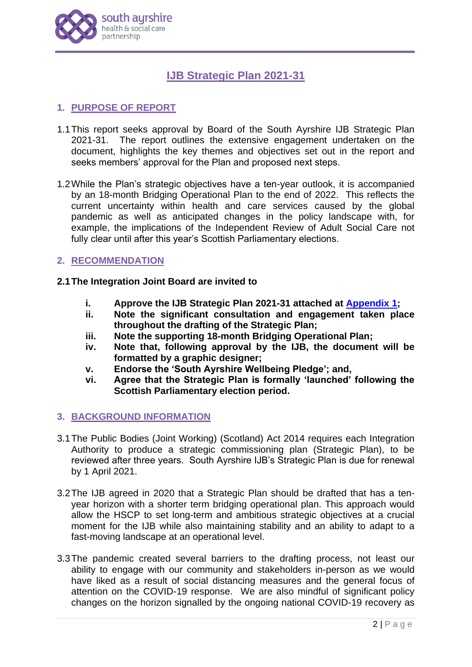

# **IJB Strategic Plan 2021-31**

# **1. PURPOSE OF REPORT**

- 1.1This report seeks approval by Board of the South Ayrshire IJB Strategic Plan 2021-31. The report outlines the extensive engagement undertaken on the document, highlights the key themes and objectives set out in the report and seeks members' approval for the Plan and proposed next steps.
- 1.2While the Plan's strategic objectives have a ten-year outlook, it is accompanied by an 18-month Bridging Operational Plan to the end of 2022. This reflects the current uncertainty within health and care services caused by the global pandemic as well as anticipated changes in the policy landscape with, for example, the implications of the Independent Review of Adult Social Care not fully clear until after this year's Scottish Parliamentary elections.

### **2. RECOMMENDATION**

### **2.1The Integration Joint Board are invited to**

- **i. Approve the IJB Strategic Plan 2021-31 attached at [Appendix 1;](http://www.south-ayrshire.gov.uk/health-social-care-partnership/documents/Item%208%20Strategic%20Plan%20Final%20App1%20IJB%202021%2003%2024.pdf)**
- **ii. Note the significant consultation and engagement taken place throughout the drafting of the Strategic Plan;**
- **iii. Note the supporting 18-month Bridging Operational Plan;**
- **iv. Note that, following approval by the IJB, the document will be formatted by a graphic designer;**
- **v. Endorse the 'South Ayrshire Wellbeing Pledge'; and,**
- **vi. Agree that the Strategic Plan is formally 'launched' following the Scottish Parliamentary election period.**

### **3. BACKGROUND INFORMATION**

- 3.1The Public Bodies (Joint Working) (Scotland) Act 2014 requires each Integration Authority to produce a strategic commissioning plan (Strategic Plan), to be reviewed after three years. South Ayrshire IJB's Strategic Plan is due for renewal by 1 April 2021.
- 3.2The IJB agreed in 2020 that a Strategic Plan should be drafted that has a tenyear horizon with a shorter term bridging operational plan. This approach would allow the HSCP to set long-term and ambitious strategic objectives at a crucial moment for the IJB while also maintaining stability and an ability to adapt to a fast-moving landscape at an operational level.
- 3.3The pandemic created several barriers to the drafting process, not least our ability to engage with our community and stakeholders in-person as we would have liked as a result of social distancing measures and the general focus of attention on the COVID-19 response. We are also mindful of significant policy changes on the horizon signalled by the ongoing national COVID-19 recovery as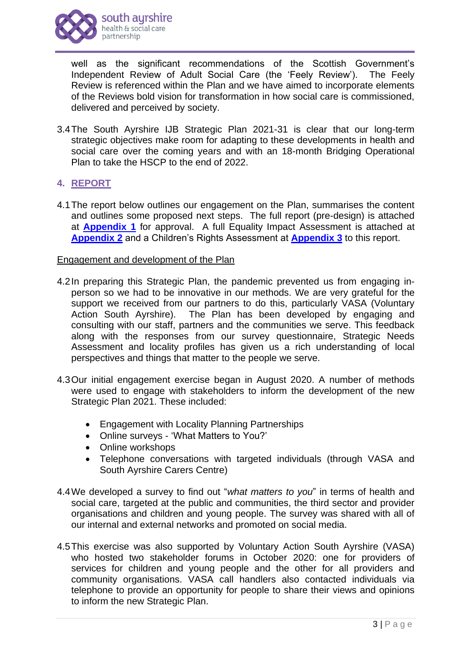

well as the significant recommendations of the Scottish Government's Independent Review of Adult Social Care (the 'Feely Review'). The Feely Review is referenced within the Plan and we have aimed to incorporate elements of the Reviews bold vision for transformation in how social care is commissioned, delivered and perceived by society.

3.4The South Ayrshire IJB Strategic Plan 2021-31 is clear that our long-term strategic objectives make room for adapting to these developments in health and social care over the coming years and with an 18-month Bridging Operational Plan to take the HSCP to the end of 2022.

### **4. REPORT**

4.1The report below outlines our engagement on the Plan, summarises the content and outlines some proposed next steps. The full report (pre-design) is attached at **[Appendix 1](http://www.south-ayrshire.gov.uk/health-social-care-partnership/documents/Item%208%20Strategic%20Plan%20Final%20App1%20IJB%202021%2003%2024.pdf)** for approval. A full Equality Impact Assessment is attached at **[Appendix 2](http://www.south-ayrshire.gov.uk/health-social-care-partnership/documents/Item%208%20Strategic%20Plan%20App%202%20Equality%20Impact%20Assessment%20IJB%202021%2003%2024.pdf)** and a Children's Rights Assessment at **[Appendix 3](http://www.south-ayrshire.gov.uk/health-social-care-partnership/documents/Item%208%20-%20Strategic%20Plan%20App3%20Children)** to this report.

#### Engagement and development of the Plan

- 4.2In preparing this Strategic Plan, the pandemic prevented us from engaging inperson so we had to be innovative in our methods. We are very grateful for the support we received from our partners to do this, particularly VASA (Voluntary Action South Ayrshire). The Plan has been developed by engaging and consulting with our staff, partners and the communities we serve. This feedback along with the responses from our survey questionnaire, Strategic Needs Assessment and locality profiles has given us a rich understanding of local perspectives and things that matter to the people we serve.
- 4.3Our initial engagement exercise began in August 2020. A number of methods were used to engage with stakeholders to inform the development of the new Strategic Plan 2021. These included:
	- Engagement with Locality Planning Partnerships
	- Online surveys 'What Matters to You?'
	- Online workshops
	- Telephone conversations with targeted individuals (through VASA and South Ayrshire Carers Centre)
- 4.4We developed a survey to find out "*what matters to you*" in terms of health and social care, targeted at the public and communities, the third sector and provider organisations and children and young people. The survey was shared with all of our internal and external networks and promoted on social media.
- 4.5This exercise was also supported by Voluntary Action South Ayrshire (VASA) who hosted two stakeholder forums in October 2020: one for providers of services for children and young people and the other for all providers and community organisations. VASA call handlers also contacted individuals via telephone to provide an opportunity for people to share their views and opinions to inform the new Strategic Plan.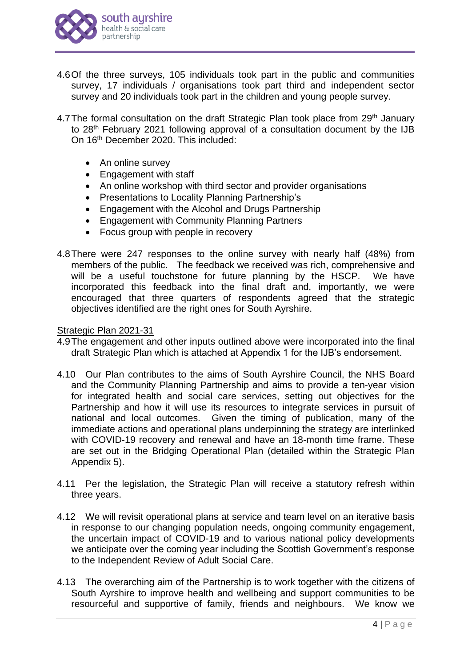

- 4.6Of the three surveys, 105 individuals took part in the public and communities survey, 17 individuals / organisations took part third and independent sector survey and 20 individuals took part in the children and young people survey.
- 4.7 The formal consultation on the draft Strategic Plan took place from 29<sup>th</sup> January to 28<sup>th</sup> February 2021 following approval of a consultation document by the IJB On 16th December 2020. This included:
	- An online survey
	- Engagement with staff
	- An online workshop with third sector and provider organisations
	- Presentations to Locality Planning Partnership's
	- Engagement with the Alcohol and Drugs Partnership
	- Engagement with Community Planning Partners
	- Focus group with people in recovery
- 4.8There were 247 responses to the online survey with nearly half (48%) from members of the public. The feedback we received was rich, comprehensive and will be a useful touchstone for future planning by the HSCP. We have incorporated this feedback into the final draft and, importantly, we were encouraged that three quarters of respondents agreed that the strategic objectives identified are the right ones for South Ayrshire.

#### Strategic Plan 2021-31

- 4.9The engagement and other inputs outlined above were incorporated into the final draft Strategic Plan which is attached at Appendix 1 for the IJB's endorsement.
- 4.10 Our Plan contributes to the aims of South Ayrshire Council, the NHS Board and the Community Planning Partnership and aims to provide a ten-year vision for integrated health and social care services, setting out objectives for the Partnership and how it will use its resources to integrate services in pursuit of national and local outcomes. Given the timing of publication, many of the immediate actions and operational plans underpinning the strategy are interlinked with COVID-19 recovery and renewal and have an 18-month time frame. These are set out in the Bridging Operational Plan (detailed within the Strategic Plan Appendix 5).
- 4.11 Per the legislation, the Strategic Plan will receive a statutory refresh within three years.
- 4.12 We will revisit operational plans at service and team level on an iterative basis in response to our changing population needs, ongoing community engagement, the uncertain impact of COVID-19 and to various national policy developments we anticipate over the coming year including the Scottish Government's response to the Independent Review of Adult Social Care.
- 4.13 The overarching aim of the Partnership is to work together with the citizens of South Ayrshire to improve health and wellbeing and support communities to be resourceful and supportive of family, friends and neighbours. We know we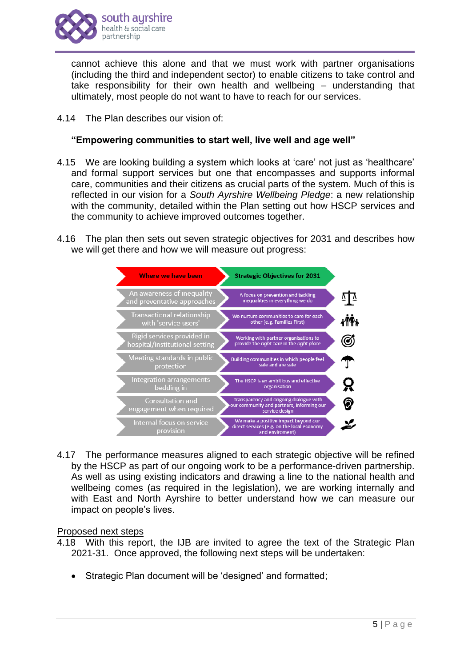

cannot achieve this alone and that we must work with partner organisations (including the third and independent sector) to enable citizens to take control and take responsibility for their own health and wellbeing – understanding that ultimately, most people do not want to have to reach for our services.

4.14 The Plan describes our vision of:

# **"Empowering communities to start well, live well and age well"**

- 4.15 We are looking building a system which looks at 'care' not just as 'healthcare' and formal support services but one that encompasses and supports informal care, communities and their citizens as crucial parts of the system. Much of this is reflected in our vision for a *South Ayrshire Wellbeing Pledge*: a new relationship with the community, detailed within the Plan setting out how HSCP services and the community to achieve improved outcomes together.
- 4.16 The plan then sets out seven strategic objectives for 2031 and describes how we will get there and how we will measure out progress:



4.17 The performance measures aligned to each strategic objective will be refined by the HSCP as part of our ongoing work to be a performance-driven partnership. As well as using existing indicators and drawing a line to the national health and wellbeing comes (as required in the legislation), we are working internally and with East and North Ayrshire to better understand how we can measure our impact on people's lives.

### Proposed next steps

- 4.18 With this report, the IJB are invited to agree the text of the Strategic Plan 2021-31. Once approved, the following next steps will be undertaken:
	- Strategic Plan document will be 'designed' and formatted;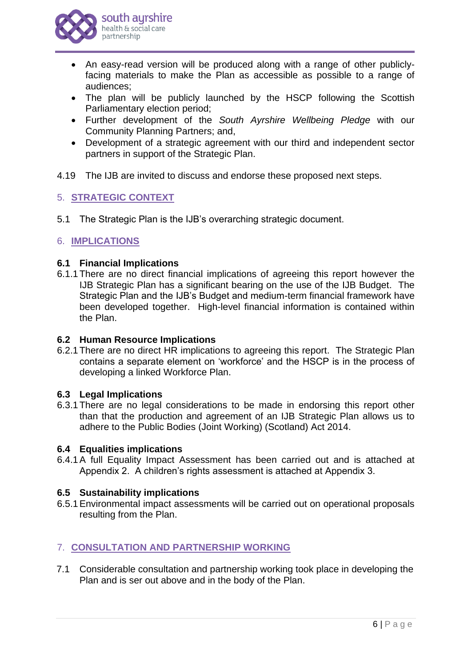

- An easy-read version will be produced along with a range of other publiclyfacing materials to make the Plan as accessible as possible to a range of audiences;
- The plan will be publicly launched by the HSCP following the Scottish Parliamentary election period;
- Further development of the *South Ayrshire Wellbeing Pledge* with our Community Planning Partners; and,
- Development of a strategic agreement with our third and independent sector partners in support of the Strategic Plan.
- 4.19 The IJB are invited to discuss and endorse these proposed next steps.

# 5. **STRATEGIC CONTEXT**

5.1 The Strategic Plan is the IJB's overarching strategic document.

# 6. **IMPLICATIONS**

#### **6.1 Financial Implications**

6.1.1There are no direct financial implications of agreeing this report however the IJB Strategic Plan has a significant bearing on the use of the IJB Budget. The Strategic Plan and the IJB's Budget and medium-term financial framework have been developed together. High-level financial information is contained within the Plan.

#### **6.2 Human Resource Implications**

6.2.1There are no direct HR implications to agreeing this report. The Strategic Plan contains a separate element on 'workforce' and the HSCP is in the process of developing a linked Workforce Plan.

### **6.3 Legal Implications**

6.3.1There are no legal considerations to be made in endorsing this report other than that the production and agreement of an IJB Strategic Plan allows us to adhere to the Public Bodies (Joint Working) (Scotland) Act 2014.

#### **6.4 Equalities implications**

6.4.1A full Equality Impact Assessment has been carried out and is attached at Appendix 2. A children's rights assessment is attached at Appendix 3.

#### **6.5 Sustainability implications**

6.5.1Environmental impact assessments will be carried out on operational proposals resulting from the Plan.

### 7. **CONSULTATION AND PARTNERSHIP WORKING**

7.1 Considerable consultation and partnership working took place in developing the Plan and is ser out above and in the body of the Plan.